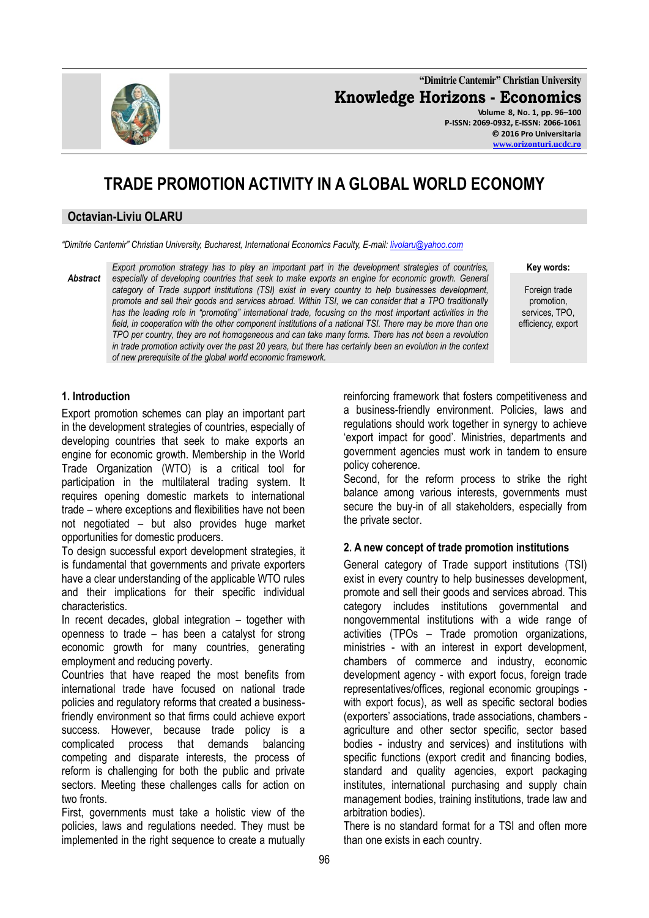**"Dimitrie Cantemir" Christian University Knowledge Horizons - Economics Volume 8, No. 1, pp. 96–100 P-ISSN: 2069-0932, E-ISSN: 2066-1061 © 2016 Pro Universitaria**

# **TRADE PROMOTION ACTIVITY IN A GLOBAL WORLD ECONOMY**

#### **Octavian-Liviu OLARU**

*"Dimitrie Cantemir" Christian University, Bucharest, International Economics Faculty, E-mail: [livolaru@yahoo.com](mailto:livolaru@yahoo.com)*

*Abstract Export promotion strategy has to play an important part in the development strategies of countries, especially of developing countries that seek to make exports an engine for economic growth. General category of Trade support institutions (TSI) exist in every country to help businesses development, promote and sell their goods and services abroad. Within TSI, we can consider that a TPO traditionally has the leading role in "promoting" international trade, focusing on the most important activities in the*  field, in cooperation with the other component institutions of a national TSI. There may be more than one *TPO per country, they are not homogeneous and can take many forms. There has not been a revolution in trade promotion activity over the past 20 years, but there has certainly been an evolution in the context of new prerequisite of the global world economic framework.*

**Key words:**

Foreign trade promotion, services, TPO, efficiency, export

### **1. Introduction**

Export promotion schemes can play an important part in the development strategies of countries, especially of developing countries that seek to make exports an engine for economic growth. Membership in the World Trade Organization (WTO) is a critical tool for participation in the multilateral trading system. It requires opening domestic markets to international trade – where exceptions and flexibilities have not been not negotiated – but also provides huge market opportunities for domestic producers.

To design successful export development strategies, it is fundamental that governments and private exporters have a clear understanding of the applicable WTO rules and their implications for their specific individual characteristics.

In recent decades, global integration – together with openness to trade – has been a catalyst for strong economic growth for many countries, generating employment and reducing poverty.

Countries that have reaped the most benefits from international trade have focused on national trade policies and regulatory reforms that created a businessfriendly environment so that firms could achieve export success. However, because trade policy is a complicated process that demands balancing competing and disparate interests, the process of reform is challenging for both the public and private sectors. Meeting these challenges calls for action on two fronts.

First, governments must take a holistic view of the policies, laws and regulations needed. They must be implemented in the right sequence to create a mutually reinforcing framework that fosters competitiveness and a business-friendly environment. Policies, laws and regulations should work together in synergy to achieve "export impact for good". Ministries, departments and government agencies must work in tandem to ensure policy coherence.

Second, for the reform process to strike the right balance among various interests, governments must secure the buy-in of all stakeholders, especially from the private sector.

#### **2. A new concept of trade promotion institutions**

General category of Trade support institutions (TSI) exist in every country to help businesses development, promote and sell their goods and services abroad. This category includes institutions governmental and nongovernmental institutions with a wide range of activities (TPOs – Trade promotion organizations, ministries - with an interest in export development, chambers of commerce and industry, economic development agency - with export focus, foreign trade representatives/offices, regional economic groupings with export focus), as well as specific sectoral bodies (exporters" associations, trade associations, chambers agriculture and other sector specific, sector based bodies - industry and services) and institutions with specific functions (export credit and financing bodies, standard and quality agencies, export packaging institutes, international purchasing and supply chain management bodies, training institutions, trade law and arbitration bodies).

There is no standard format for a TSI and often more than one exists in each country.

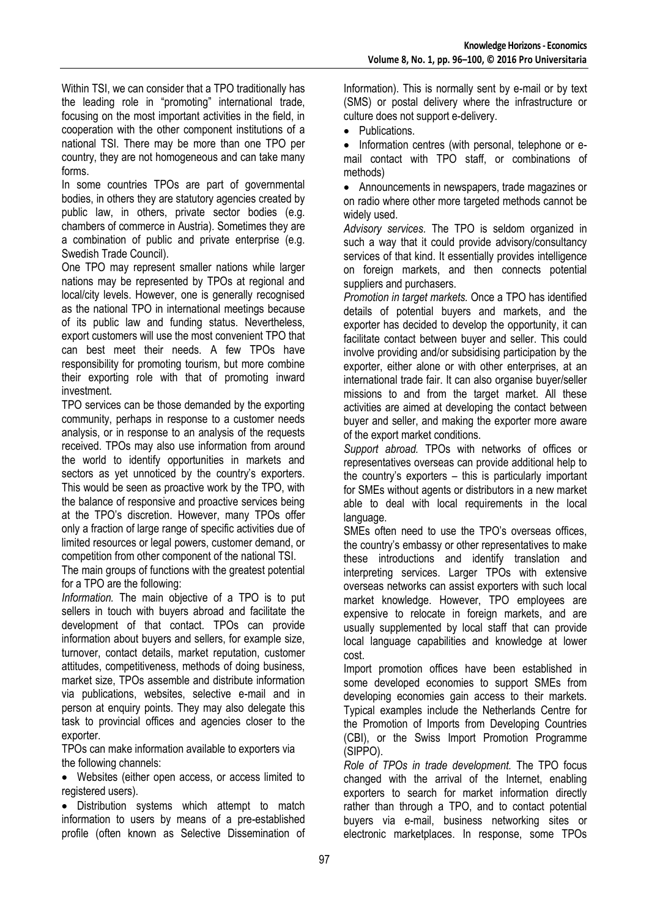Within TSI, we can consider that a TPO traditionally has the leading role in "promoting" international trade, focusing on the most important activities in the field, in cooperation with the other component institutions of a national TSI. There may be more than one TPO per country, they are not homogeneous and can take many forms.

In some countries TPOs are part of governmental bodies, in others they are statutory agencies created by public law, in others, private sector bodies (e.g. chambers of commerce in Austria). Sometimes they are a combination of public and private enterprise (e.g. Swedish Trade Council).

One TPO may represent smaller nations while larger nations may be represented by TPOs at regional and local/city levels. However, one is generally recognised as the national TPO in international meetings because of its public law and funding status. Nevertheless, export customers will use the most convenient TPO that can best meet their needs. A few TPOs have responsibility for promoting tourism, but more combine their exporting role with that of promoting inward investment.

TPO services can be those demanded by the exporting community, perhaps in response to a customer needs analysis, or in response to an analysis of the requests received. TPOs may also use information from around the world to identify opportunities in markets and sectors as yet unnoticed by the country's exporters. This would be seen as proactive work by the TPO, with the balance of responsive and proactive services being at the TPO"s discretion. However, many TPOs offer only a fraction of large range of specific activities due of limited resources or legal powers, customer demand, or competition from other component of the national TSI.

The main groups of functions with the greatest potential for a TPO are the following:

*Information.* The main objective of a TPO is to put sellers in touch with buyers abroad and facilitate the development of that contact. TPOs can provide information about buyers and sellers, for example size, turnover, contact details, market reputation, customer attitudes, competitiveness, methods of doing business, market size, TPOs assemble and distribute information via publications, websites, selective e-mail and in person at enquiry points. They may also delegate this task to provincial offices and agencies closer to the exporter.

TPOs can make information available to exporters via the following channels:

 Websites (either open access, or access limited to registered users).

• Distribution systems which attempt to match information to users by means of a pre-established profile (often known as Selective Dissemination of Information). This is normally sent by e-mail or by text (SMS) or postal delivery where the infrastructure or culture does not support e-delivery.

• Publications.

• Information centres (with personal, telephone or email contact with TPO staff, or combinations of methods)

 Announcements in newspapers, trade magazines or on radio where other more targeted methods cannot be widely used.

*Advisory services.* The TPO is seldom organized in such a way that it could provide advisory/consultancy services of that kind. It essentially provides intelligence on foreign markets, and then connects potential suppliers and purchasers.

*Promotion in target markets.* Once a TPO has identified details of potential buyers and markets, and the exporter has decided to develop the opportunity, it can facilitate contact between buyer and seller. This could involve providing and/or subsidising participation by the exporter, either alone or with other enterprises, at an international trade fair. It can also organise buyer/seller missions to and from the target market. All these activities are aimed at developing the contact between buyer and seller, and making the exporter more aware of the export market conditions.

*Support abroad.* TPOs with networks of offices or representatives overseas can provide additional help to the country"s exporters – this is particularly important for SMEs without agents or distributors in a new market able to deal with local requirements in the local language.

SMEs often need to use the TPO's overseas offices, the country"s embassy or other representatives to make these introductions and identify translation and interpreting services. Larger TPOs with extensive overseas networks can assist exporters with such local market knowledge. However, TPO employees are expensive to relocate in foreign markets, and are usually supplemented by local staff that can provide local language capabilities and knowledge at lower cost.

Import promotion offices have been established in some developed economies to support SMEs from developing economies gain access to their markets. Typical examples include the Netherlands Centre for the Promotion of Imports from Developing Countries (CBI), or the Swiss Import Promotion Programme (SIPPO).

*Role of TPOs in trade development.* The TPO focus changed with the arrival of the Internet, enabling exporters to search for market information directly rather than through a TPO, and to contact potential buyers via e-mail, business networking sites or electronic marketplaces. In response, some TPOs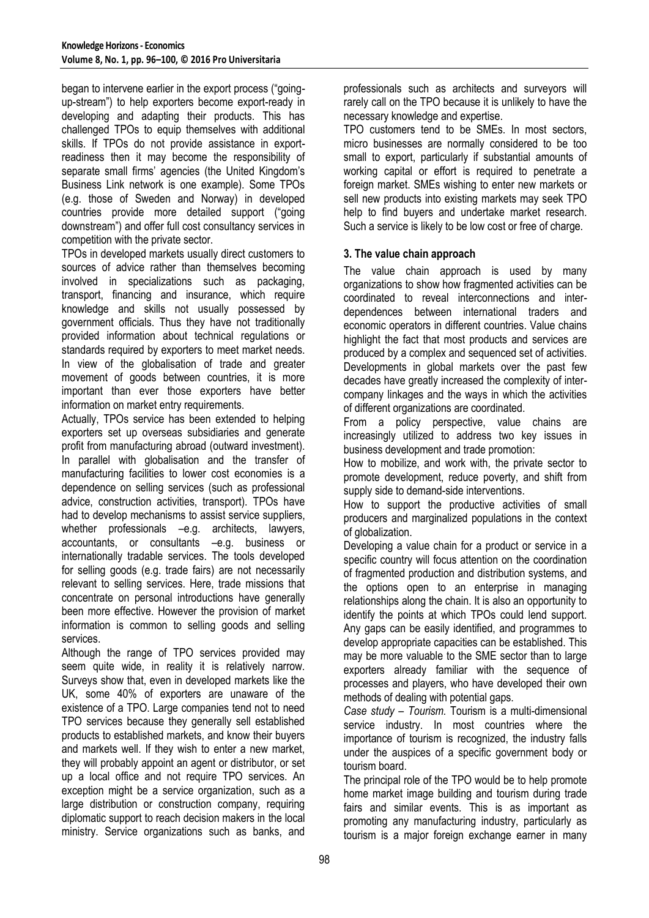began to intervene earlier in the export process ("goingup-stream") to help exporters become export-ready in developing and adapting their products. This has challenged TPOs to equip themselves with additional skills. If TPOs do not provide assistance in exportreadiness then it may become the responsibility of separate small firms' agencies (the United Kingdom's Business Link network is one example). Some TPOs (e.g. those of Sweden and Norway) in developed countries provide more detailed support ("going downstream") and offer full cost consultancy services in competition with the private sector.

TPOs in developed markets usually direct customers to sources of advice rather than themselves becoming involved in specializations such as packaging, transport, financing and insurance, which require knowledge and skills not usually possessed by government officials. Thus they have not traditionally provided information about technical regulations or standards required by exporters to meet market needs. In view of the globalisation of trade and greater movement of goods between countries, it is more important than ever those exporters have better information on market entry requirements.

Actually, TPOs service has been extended to helping exporters set up overseas subsidiaries and generate profit from manufacturing abroad (outward investment). In parallel with globalisation and the transfer of manufacturing facilities to lower cost economies is a dependence on selling services (such as professional advice, construction activities, transport). TPOs have had to develop mechanisms to assist service suppliers, whether professionals –e.g. architects, lawyers, accountants, or consultants –e.g. business or internationally tradable services. The tools developed for selling goods (e.g. trade fairs) are not necessarily relevant to selling services. Here, trade missions that concentrate on personal introductions have generally been more effective. However the provision of market information is common to selling goods and selling services.

Although the range of TPO services provided may seem quite wide, in reality it is relatively narrow. Surveys show that, even in developed markets like the UK, some 40% of exporters are unaware of the existence of a TPO. Large companies tend not to need TPO services because they generally sell established products to established markets, and know their buyers and markets well. If they wish to enter a new market, they will probably appoint an agent or distributor, or set up a local office and not require TPO services. An exception might be a service organization, such as a large distribution or construction company, requiring diplomatic support to reach decision makers in the local ministry. Service organizations such as banks, and professionals such as architects and surveyors will rarely call on the TPO because it is unlikely to have the necessary knowledge and expertise.

TPO customers tend to be SMEs. In most sectors, micro businesses are normally considered to be too small to export, particularly if substantial amounts of working capital or effort is required to penetrate a foreign market. SMEs wishing to enter new markets or sell new products into existing markets may seek TPO help to find buyers and undertake market research. Such a service is likely to be low cost or free of charge.

# **3. The value chain approach**

The value chain approach is used by many organizations to show how fragmented activities can be coordinated to reveal interconnections and interdependences between international traders and economic operators in different countries. Value chains highlight the fact that most products and services are produced by a complex and sequenced set of activities. Developments in global markets over the past few decades have greatly increased the complexity of intercompany linkages and the ways in which the activities of different organizations are coordinated.

From a policy perspective, value chains are increasingly utilized to address two key issues in business development and trade promotion:

How to mobilize, and work with, the private sector to promote development, reduce poverty, and shift from supply side to demand-side interventions.

How to support the productive activities of small producers and marginalized populations in the context of globalization.

Developing a value chain for a product or service in a specific country will focus attention on the coordination of fragmented production and distribution systems, and the options open to an enterprise in managing relationships along the chain. It is also an opportunity to identify the points at which TPOs could lend support. Any gaps can be easily identified, and programmes to develop appropriate capacities can be established. This may be more valuable to the SME sector than to large exporters already familiar with the sequence of processes and players, who have developed their own methods of dealing with potential gaps.

*Case study – Tourism.* Tourism is a multi-dimensional service industry. In most countries where the importance of tourism is recognized, the industry falls under the auspices of a specific government body or tourism board.

The principal role of the TPO would be to help promote home market image building and tourism during trade fairs and similar events. This is as important as promoting any manufacturing industry, particularly as tourism is a major foreign exchange earner in many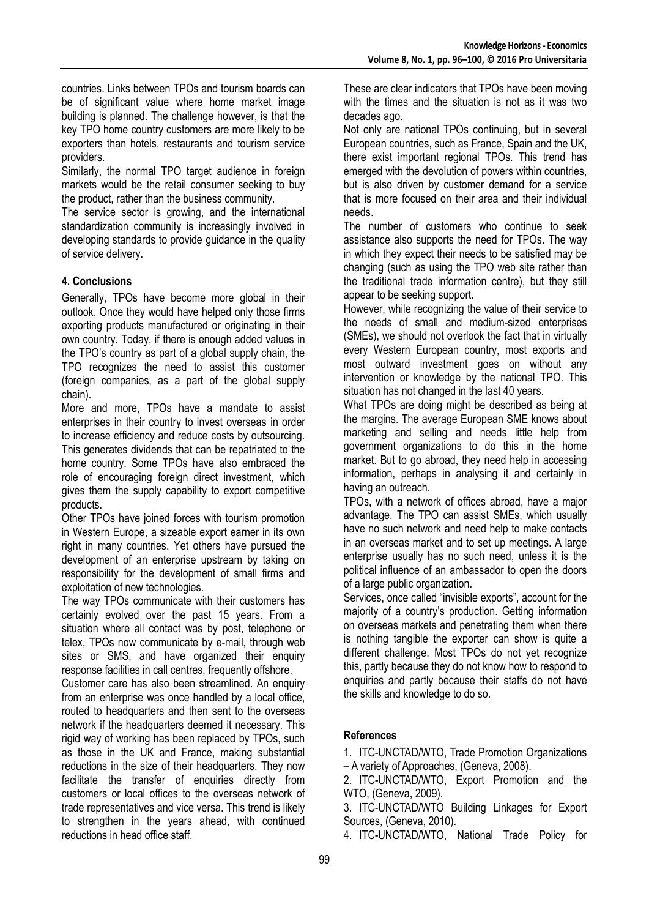countries. Links between TPOs and tourism boards can be of significant value where home market image building is planned. The challenge however, is that the key TPO home country customers are more likely to be exporters than hotels, restaurants and tourism service providers.

Similarly, the normal TPO target audience in foreign markets would be the retail consumer seeking to buy the product, rather than the business community.

The service sector is growing, and the international standardization community is increasingly involved in developing standards to provide guidance in the quality of service delivery.

# **4. Conclusions**

Generally, TPOs have become more global in their outlook. Once they would have helped only those firms exporting products manufactured or originating in their own country. Today, if there is enough added values in the TPO"s country as part of a global supply chain, the TPO recognizes the need to assist this customer (foreign companies, as a part of the global supply chain).

More and more, TPOs have a mandate to assist enterprises in their country to invest overseas in order to increase efficiency and reduce costs by outsourcing. This generates dividends that can be repatriated to the home country. Some TPOs have also embraced the role of encouraging foreign direct investment, which gives them the supply capability to export competitive products.

Other TPOs have joined forces with tourism promotion in Western Europe, a sizeable export earner in its own right in many countries. Yet others have pursued the development of an enterprise upstream by taking on responsibility for the development of small firms and exploitation of new technologies.

The way TPOs communicate with their customers has certainly evolved over the past 15 years. From a situation where all contact was by post, telephone or telex, TPOs now communicate by e-mail, through web sites or SMS, and have organized their enquiry response facilities in call centres, frequently offshore.

Customer care has also been streamlined. An enquiry from an enterprise was once handled by a local office, routed to headquarters and then sent to the overseas network if the headquarters deemed it necessary. This rigid way of working has been replaced by TPOs, such as those in the UK and France, making substantial reductions in the size of their headquarters. They now facilitate the transfer of enquiries directly from customers or local offices to the overseas network of trade representatives and vice versa. This trend is likely to strengthen in the years ahead, with continued reductions in head office staff.

These are clear indicators that TPOs have been moving with the times and the situation is not as it was two decades ago.

Not only are national TPOs continuing, but in several European countries, such as France, Spain and the UK, there exist important regional TPOs. This trend has emerged with the devolution of powers within countries, but is also driven by customer demand for a service that is more focused on their area and their individual needs.

The number of customers who continue to seek assistance also supports the need for TPOs. The way in which they expect their needs to be satisfied may be changing (such as using the TPO web site rather than the traditional trade information centre), but they still appear to be seeking support.

However, while recognizing the value of their service to the needs of small and medium-sized enterprises (SMEs), we should not overlook the fact that in virtually every Western European country, most exports and most outward investment goes on without any intervention or knowledge by the national TPO. This situation has not changed in the last 40 years.

What TPOs are doing might be described as being at the margins. The average European SME knows about marketing and selling and needs little help from government organizations to do this in the home market. But to go abroad, they need help in accessing information, perhaps in analysing it and certainly in having an outreach.

TPOs, with a network of offices abroad, have a major advantage. The TPO can assist SMEs, which usually have no such network and need help to make contacts in an overseas market and to set up meetings. A large enterprise usually has no such need, unless it is the political influence of an ambassador to open the doors of a large public organization.

Services, once called "invisible exports", account for the majority of a country's production. Getting information on overseas markets and penetrating them when there is nothing tangible the exporter can show is quite a different challenge. Most TPOs do not yet recognize this, partly because they do not know how to respond to enquiries and partly because their staffs do not have the skills and knowledge to do so.

# **References**

1. ITC-UNCTAD/WTO, Trade Promotion Organizations – A variety of Approaches, (Geneva, 2008).

2. ITC-UNCTAD/WTO, Export Promotion and the WTO, (Geneva, 2009).

3. ITC-UNCTAD/WTO Building Linkages for Export Sources, (Geneva, 2010).

4. ITC-UNCTAD/WTO, National Trade Policy for